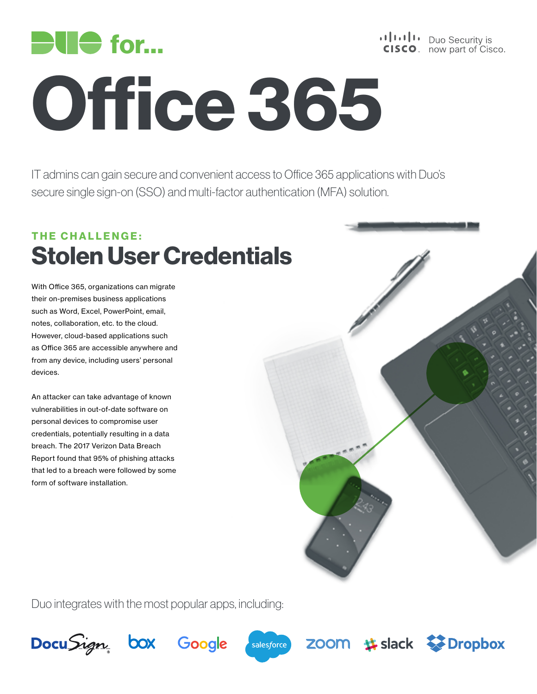

# Office 365

IT admins can gain secure and convenient access to Office 365 applications with Duo's secure single sign-on (SSO) and multi-factor authentication (MFA) solution.

## THE CHALLENGE: Stolen User Credentials

With Office 365, organizations can migrate their on-premises business applications such as Word, Excel, PowerPoint, email, notes, collaboration, etc. to the cloud. However, cloud-based applications such as Office 365 are accessible anywhere and from any device, including users' personal devices.

An attacker can take advantage of known vulnerabilities in out-of-date software on personal devices to compromise user credentials, potentially resulting in a data breach. The 2017 Verizon Data Breach Report found that 95% of phishing attacks that led to a breach were followed by some form of software installation.



Duo integrates with the most popular apps, including: